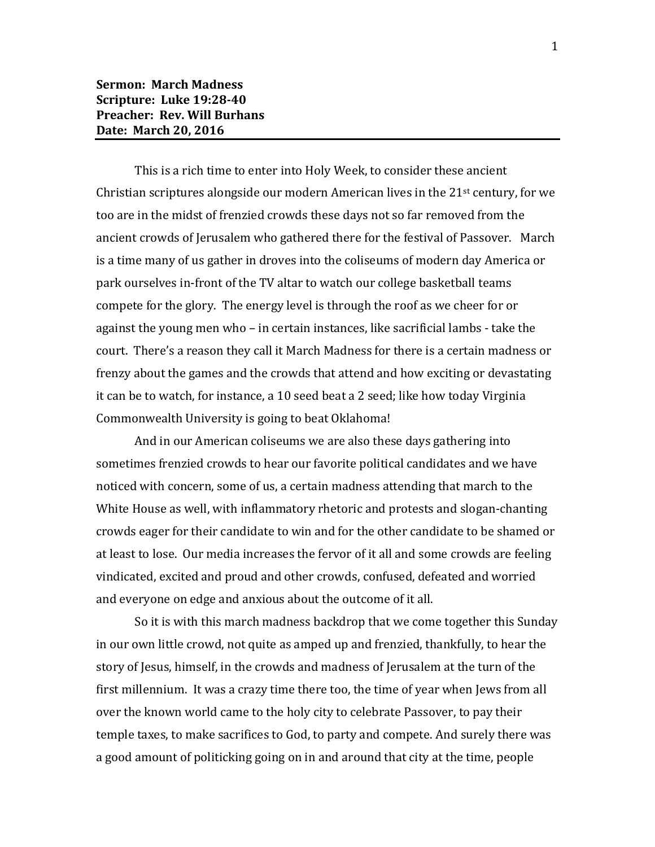This is a rich time to enter into Holy Week, to consider these ancient Christian scriptures alongside our modern American lives in the  $21<sup>st</sup>$  century, for we too are in the midst of frenzied crowds these days not so far removed from the ancient crowds of Jerusalem who gathered there for the festival of Passover. March is a time many of us gather in droves into the coliseums of modern day America or park ourselves in-front of the TV altar to watch our college basketball teams compete for the glory. The energy level is through the roof as we cheer for or against the young men who – in certain instances, like sacrificial lambs - take the court. There's a reason they call it March Madness for there is a certain madness or frenzy about the games and the crowds that attend and how exciting or devastating it can be to watch, for instance, a 10 seed beat a 2 seed; like how today Virginia Commonwealth University is going to beat Oklahoma!

And in our American coliseums we are also these days gathering into sometimes frenzied crowds to hear our favorite political candidates and we have noticed with concern, some of us, a certain madness attending that march to the White House as well, with inflammatory rhetoric and protests and slogan-chanting crowds eager for their candidate to win and for the other candidate to be shamed or at least to lose. Our media increases the fervor of it all and some crowds are feeling vindicated, excited and proud and other crowds, confused, defeated and worried and everyone on edge and anxious about the outcome of it all.

So it is with this march madness backdrop that we come together this Sunday in our own little crowd, not quite as amped up and frenzied, thankfully, to hear the story of Jesus, himself, in the crowds and madness of Jerusalem at the turn of the first millennium. It was a crazy time there too, the time of year when Jews from all over the known world came to the holy city to celebrate Passover, to pay their temple taxes, to make sacrifices to God, to party and compete. And surely there was a good amount of politicking going on in and around that city at the time, people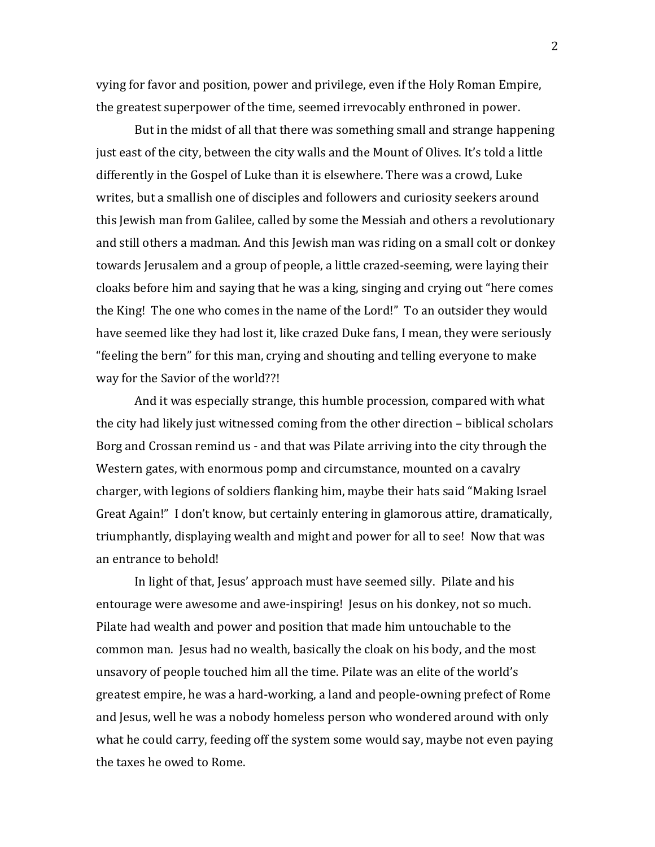vying for favor and position, power and privilege, even if the Holy Roman Empire, the greatest superpower of the time, seemed irrevocably enthroned in power.

But in the midst of all that there was something small and strange happening just east of the city, between the city walls and the Mount of Olives. It's told a little differently in the Gospel of Luke than it is elsewhere. There was a crowd, Luke writes, but a smallish one of disciples and followers and curiosity seekers around this Jewish man from Galilee, called by some the Messiah and others a revolutionary and still others a madman. And this Jewish man was riding on a small colt or donkey towards Jerusalem and a group of people, a little crazed-seeming, were laying their cloaks before him and saying that he was a king, singing and crying out "here comes the King! The one who comes in the name of the Lord!" To an outsider they would have seemed like they had lost it, like crazed Duke fans, I mean, they were seriously "feeling the bern" for this man, crying and shouting and telling everyone to make way for the Savior of the world??!

And it was especially strange, this humble procession, compared with what the city had likely just witnessed coming from the other direction – biblical scholars Borg and Crossan remind us - and that was Pilate arriving into the city through the Western gates, with enormous pomp and circumstance, mounted on a cavalry charger, with legions of soldiers flanking him, maybe their hats said "Making Israel Great Again!" I don't know, but certainly entering in glamorous attire, dramatically, triumphantly, displaying wealth and might and power for all to see! Now that was an entrance to behold!

In light of that, Jesus' approach must have seemed silly. Pilate and his entourage were awesome and awe-inspiring! Jesus on his donkey, not so much. Pilate had wealth and power and position that made him untouchable to the common man. Jesus had no wealth, basically the cloak on his body, and the most unsavory of people touched him all the time. Pilate was an elite of the world's greatest empire, he was a hard-working, a land and people-owning prefect of Rome and Jesus, well he was a nobody homeless person who wondered around with only what he could carry, feeding off the system some would say, maybe not even paying the taxes he owed to Rome.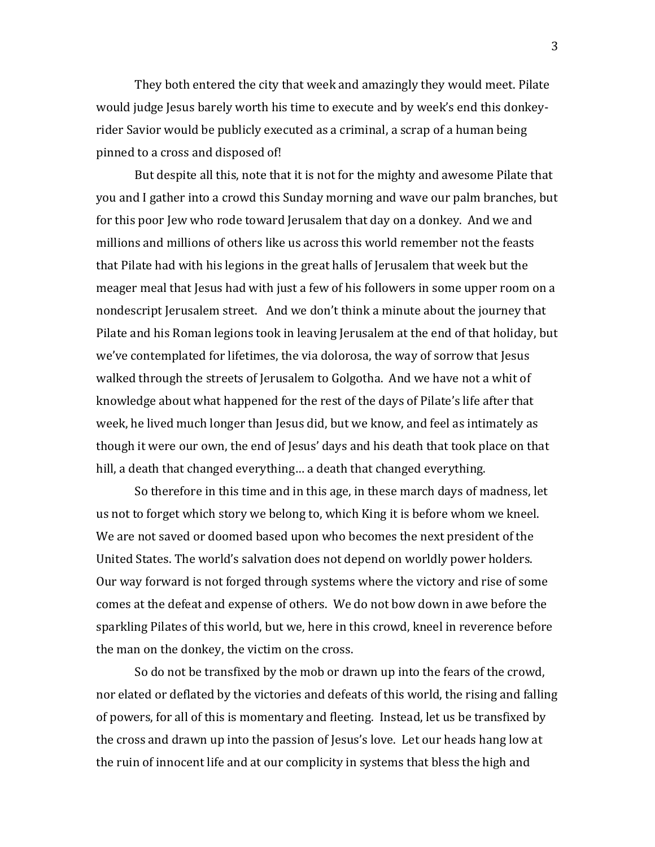They both entered the city that week and amazingly they would meet. Pilate would judge Jesus barely worth his time to execute and by week's end this donkeyrider Savior would be publicly executed as a criminal, a scrap of a human being pinned to a cross and disposed of!

But despite all this, note that it is not for the mighty and awesome Pilate that you and I gather into a crowd this Sunday morning and wave our palm branches, but for this poor Jew who rode toward Jerusalem that day on a donkey. And we and millions and millions of others like us across this world remember not the feasts that Pilate had with his legions in the great halls of Jerusalem that week but the meager meal that Jesus had with just a few of his followers in some upper room on a nondescript Jerusalem street. And we don't think a minute about the journey that Pilate and his Roman legions took in leaving Jerusalem at the end of that holiday, but we've contemplated for lifetimes, the via dolorosa, the way of sorrow that Jesus walked through the streets of Jerusalem to Golgotha. And we have not a whit of knowledge about what happened for the rest of the days of Pilate's life after that week, he lived much longer than Jesus did, but we know, and feel as intimately as though it were our own, the end of Jesus' days and his death that took place on that hill, a death that changed everything… a death that changed everything.

So therefore in this time and in this age, in these march days of madness, let us not to forget which story we belong to, which King it is before whom we kneel. We are not saved or doomed based upon who becomes the next president of the United States. The world's salvation does not depend on worldly power holders. Our way forward is not forged through systems where the victory and rise of some comes at the defeat and expense of others. We do not bow down in awe before the sparkling Pilates of this world, but we, here in this crowd, kneel in reverence before the man on the donkey, the victim on the cross.

So do not be transfixed by the mob or drawn up into the fears of the crowd, nor elated or deflated by the victories and defeats of this world, the rising and falling of powers, for all of this is momentary and fleeting. Instead, let us be transfixed by the cross and drawn up into the passion of Jesus's love. Let our heads hang low at the ruin of innocent life and at our complicity in systems that bless the high and